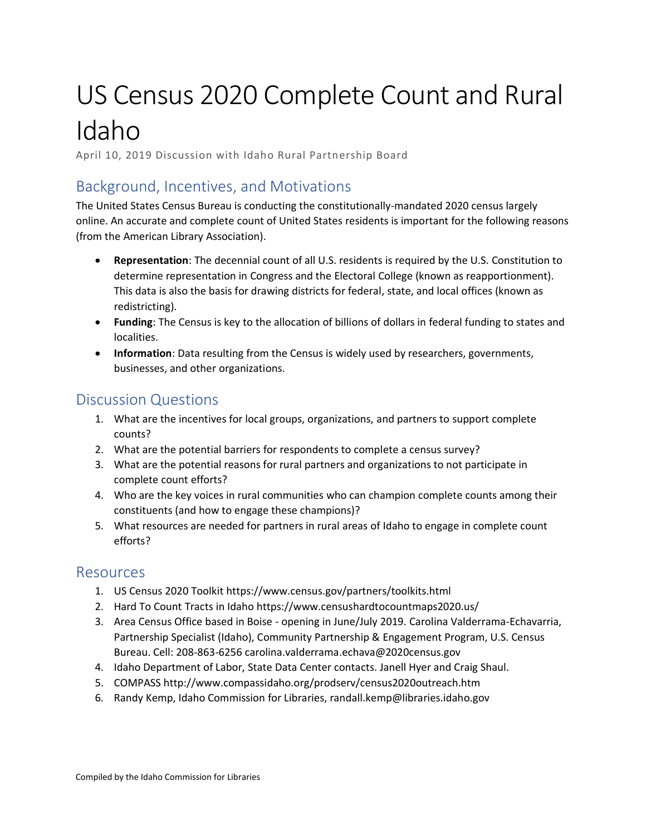# US Census 2020 Complete Count and Rural Idaho

April 10, 2019 Discussion with Idaho Rural Partnership Board

### Background, Incentives, and Motivations

The United States Census Bureau is conducting the constitutionally-mandated 2020 census largely online. An accurate and complete count of United States residents is important for the following reasons (from the American Library Association).

- **Representation**: The decennial count of all U.S. residents is required by the U.S. Constitution to determine representation in Congress and the Electoral College (known as reapportionment). This data is also the basis for drawing districts for federal, state, and local offices (known as redistricting).
- **Funding**: The Census is key to the allocation of billions of dollars in federal funding to states and localities.
- **Information**: Data resulting from the Census is widely used by researchers, governments, businesses, and other organizations.

#### Discussion Questions

- 1. What are the incentives for local groups, organizations, and partners to support complete counts?
- 2. What are the potential barriers for respondents to complete a census survey?
- 3. What are the potential reasons for rural partners and organizations to not participate in complete count efforts?
- 4. Who are the key voices in rural communities who can champion complete counts among their constituents (and how to engage these champions)?
- 5. What resources are needed for partners in rural areas of Idaho to engage in complete count efforts?

#### Resources

- 1. US Census 2020 Toolkit https://www.census.gov/partners/toolkits.html
- 2. Hard To Count Tracts in Idaho https://www.censushardtocountmaps2020.us/
- 3. Area Census Office based in Boise opening in June/July 2019. Carolina Valderrama-Echavarria, Partnership Specialist (Idaho), Community Partnership & Engagement Program, U.S. Census Bureau. Cell: 208-863-6256 carolina.valderrama.echava@2020census.gov
- 4. Idaho Department of Labor, State Data Center contacts. Janell Hyer and Craig Shaul.
- 5. COMPASS http://www.compassidaho.org/prodserv/census2020outreach.htm
- 6. Randy Kemp, Idaho Commission for Libraries, randall.kemp@libraries.idaho.gov